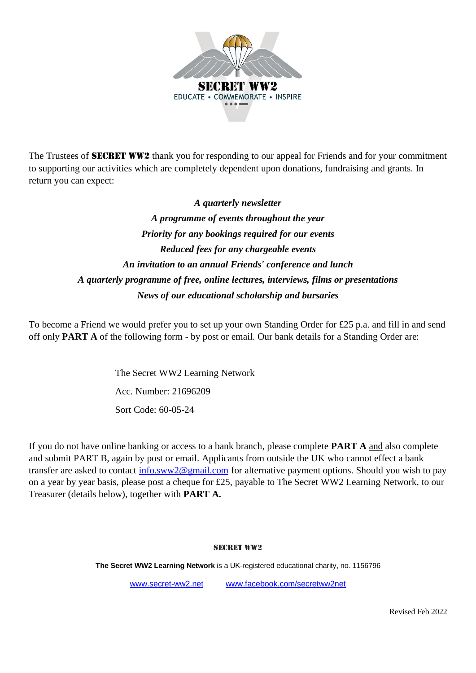

The Trustees of **SECRET WW2** thank you for responding to our appeal for Friends and for your commitment to supporting our activities which are completely dependent upon donations, fundraising and grants. In return you can expect:

> *A quarterly newsletter A programme of events throughout the year Priority for any bookings required for our events Reduced fees for any chargeable events An invitation to an annual Friends' conference and lunch A quarterly programme of free, online lectures, interviews, films or presentations News of our educational scholarship and bursaries*

To become a Friend we would prefer you to set up your own Standing Order for £25 p.a. and fill in and send off only **PART A** of the following form - by post or email. Our bank details for a Standing Order are:

> The Secret WW2 Learning Network Acc. Number: 21696209 Sort Code: 60-05-24

If you do not have online banking or access to a bank branch, please complete **PART A** and also complete and submit PART B, again by post or email. Applicants from outside the UK who cannot effect a bank transfer are asked to contact [info.sww2@gmail.com](mailto:info.sww2@gmail.com) for alternative payment options. Should you wish to pay on a year by year basis, please post a cheque for £25, payable to The Secret WW2 Learning Network, to our Treasurer (details below), together with **PART A.**

#### SECRET WW2

**The Secret WW2 Learning Network** is a UK-registered educational charity, no. 1156796

[www.secret-ww2.net](http://www.secret-ww2.net/) [www.facebook.com/secretww2net](http://www.facebook.com/secretww2net)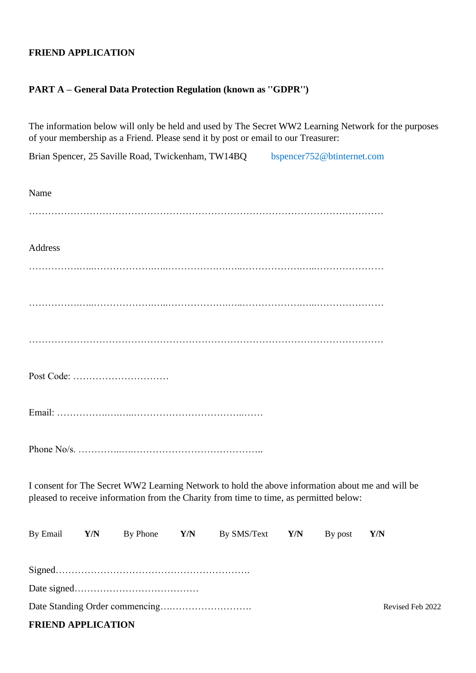## **FRIEND APPLICATION**

### **PART A – General Data Protection Regulation (known as ''GDPR'')**

The information below will only be held and used by The Secret WW2 Learning Network for the purposes of your membership as a Friend. Please send it by post or email to our Treasurer:

Brian Spencer, 25 Saville Road, Twickenham, TW14BQ bspencer752@btinternet.com

| Name     |     |            |     |                                                                                                                                                                                            |     |         |                  |
|----------|-----|------------|-----|--------------------------------------------------------------------------------------------------------------------------------------------------------------------------------------------|-----|---------|------------------|
|          |     |            |     |                                                                                                                                                                                            |     |         |                  |
| Address  |     |            |     |                                                                                                                                                                                            |     |         |                  |
|          |     |            |     |                                                                                                                                                                                            |     |         |                  |
|          |     |            |     |                                                                                                                                                                                            |     |         |                  |
|          |     |            |     |                                                                                                                                                                                            |     |         |                  |
|          |     | Post Code: |     |                                                                                                                                                                                            |     |         |                  |
|          |     |            |     |                                                                                                                                                                                            |     |         |                  |
|          |     |            |     |                                                                                                                                                                                            |     |         |                  |
|          |     |            |     | I consent for The Secret WW2 Learning Network to hold the above information about me and will be<br>pleased to receive information from the Charity from time to time, as permitted below: |     |         |                  |
| By Email | Y/N | By Phone   | Y/N | By SMS/Text                                                                                                                                                                                | Y/N | By post | <b>Y/N</b>       |
|          |     |            |     |                                                                                                                                                                                            |     |         |                  |
|          |     |            |     |                                                                                                                                                                                            |     |         |                  |
|          |     |            |     |                                                                                                                                                                                            |     |         | Revised Feb 2022 |

## **FRIEND APPLICATION**